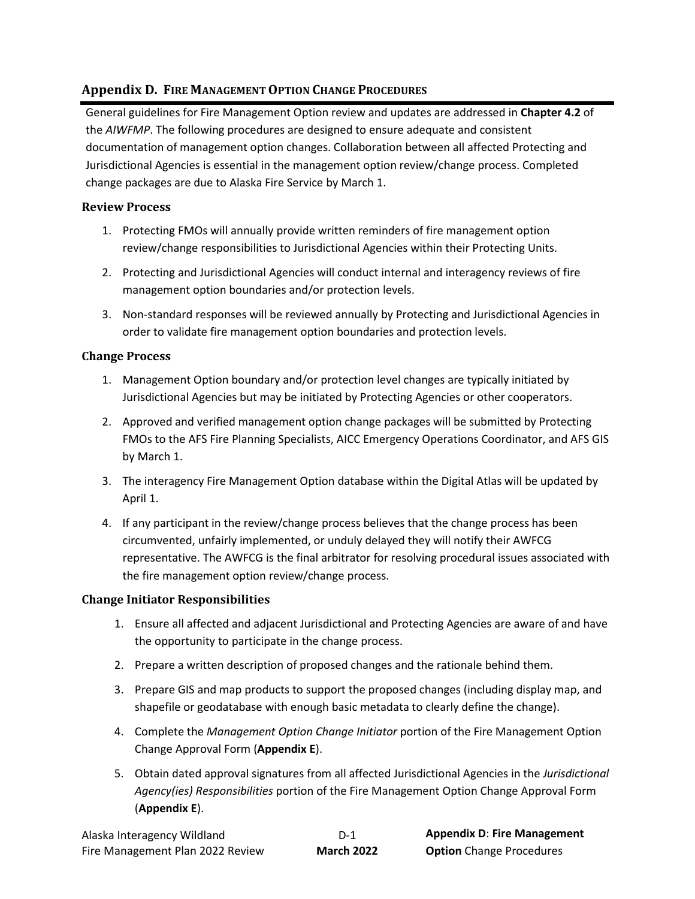# **Appendix D. FIRE MANAGEMENT OPTION CHANGE PROCEDURES**

General guidelines for Fire Management Option review and updates are addressed in **Chapter 4.2** of the *AIWFMP*. The following procedures are designed to ensure adequate and consistent documentation of management option changes. Collaboration between all affected Protecting and Jurisdictional Agencies is essential in the management option review/change process. Completed change packages are due to Alaska Fire Service by March 1.

## **Review Process**

- 1. Protecting FMOs will annually provide written reminders of fire management option review/change responsibilities to Jurisdictional Agencies within their Protecting Units.
- 2. Protecting and Jurisdictional Agencies will conduct internal and interagency reviews of fire management option boundaries and/or protection levels.
- 3. Non-standard responses will be reviewed annually by Protecting and Jurisdictional Agencies in order to validate fire management option boundaries and protection levels.

## **Change Process**

- 1. Management Option boundary and/or protection level changes are typically initiated by Jurisdictional Agencies but may be initiated by Protecting Agencies or other cooperators.
- 2. Approved and verified management option change packages will be submitted by Protecting FMOs to the AFS Fire Planning Specialists, AICC Emergency Operations Coordinator, and AFS GIS by March 1.
- 3. The interagency Fire Management Option database within the Digital Atlas will be updated by April 1.
- 4. If any participant in the review/change process believes that the change process has been circumvented, unfairly implemented, or unduly delayed they will notify their AWFCG representative. The AWFCG is the final arbitrator for resolving procedural issues associated with the fire management option review/change process.

## **Change Initiator Responsibilities**

- 1. Ensure all affected and adjacent Jurisdictional and Protecting Agencies are aware of and have the opportunity to participate in the change process.
- 2. Prepare a written description of proposed changes and the rationale behind them.
- 3. Prepare GIS and map products to support the proposed changes (including display map, and shapefile or geodatabase with enough basic metadata to clearly define the change).
- 4. Complete the *Management Option Change Initiator* portion of the Fire Management Option Change Approval Form (**Appendix E**).
- 5. Obtain dated approval signatures from all affected Jurisdictional Agencies in the *Jurisdictional Agency(ies) Responsibilities* portion of the Fire Management Option Change Approval Form (**Appendix E**).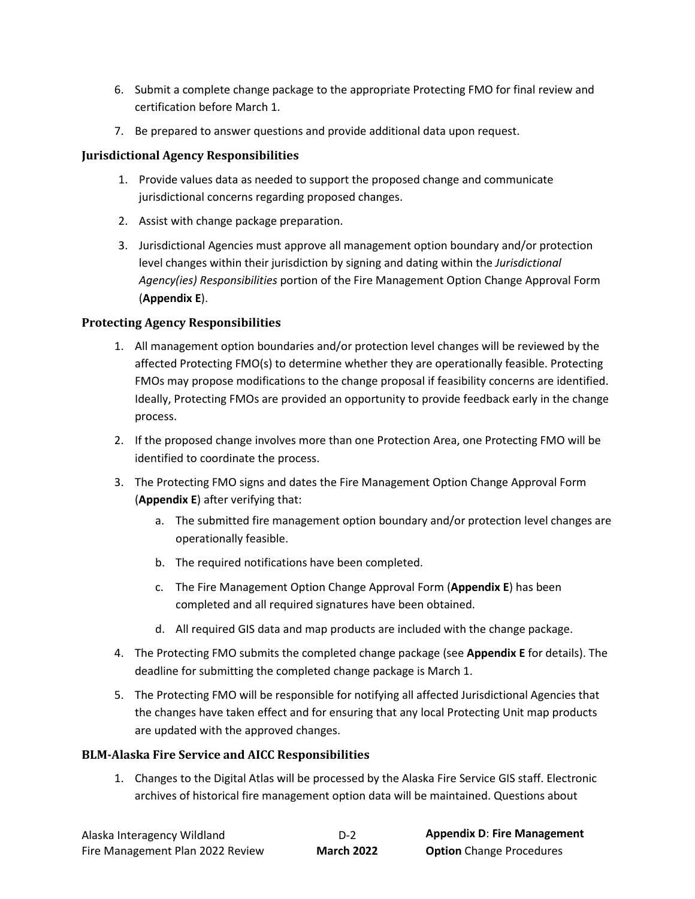- 6. Submit a complete change package to the appropriate Protecting FMO for final review and certification before March 1.
- 7. Be prepared to answer questions and provide additional data upon request.

## **Jurisdictional Agency Responsibilities**

- 1. Provide values data as needed to support the proposed change and communicate jurisdictional concerns regarding proposed changes.
- 2. Assist with change package preparation.
- 3. Jurisdictional Agencies must approve all management option boundary and/or protection level changes within their jurisdiction by signing and dating within the *Jurisdictional Agency(ies) Responsibilities* portion of the Fire Management Option Change Approval Form (**Appendix E**).

## **Protecting Agency Responsibilities**

- 1. All management option boundaries and/or protection level changes will be reviewed by the affected Protecting FMO(s) to determine whether they are operationally feasible. Protecting FMOs may propose modifications to the change proposal if feasibility concerns are identified. Ideally, Protecting FMOs are provided an opportunity to provide feedback early in the change process.
- 2. If the proposed change involves more than one Protection Area, one Protecting FMO will be identified to coordinate the process.
- 3. The Protecting FMO signs and dates the Fire Management Option Change Approval Form (**Appendix E**) after verifying that:
	- a. The submitted fire management option boundary and/or protection level changes are operationally feasible.
	- b. The required notifications have been completed.
	- c. The Fire Management Option Change Approval Form (**Appendix E**) has been completed and all required signatures have been obtained.
	- d. All required GIS data and map products are included with the change package.
- 4. The Protecting FMO submits the completed change package (see **Appendix E** for details). The deadline for submitting the completed change package is March 1.
- 5. The Protecting FMO will be responsible for notifying all affected Jurisdictional Agencies that the changes have taken effect and for ensuring that any local Protecting Unit map products are updated with the approved changes.

#### **BLM-Alaska Fire Service and AICC Responsibilities**

1. Changes to the Digital Atlas will be processed by the Alaska Fire Service GIS staff. Electronic archives of historical fire management option data will be maintained. Questions about